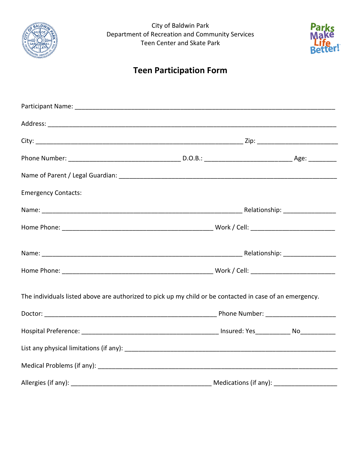

City of Baldwin Park Department of Recreation and Community Services Teen Center and Skate Park



## **Teen Participation Form**

| <b>Emergency Contacts:</b>                                                                               |  |  |  |
|----------------------------------------------------------------------------------------------------------|--|--|--|
|                                                                                                          |  |  |  |
|                                                                                                          |  |  |  |
|                                                                                                          |  |  |  |
|                                                                                                          |  |  |  |
| The individuals listed above are authorized to pick up my child or be contacted in case of an emergency. |  |  |  |
|                                                                                                          |  |  |  |
|                                                                                                          |  |  |  |
|                                                                                                          |  |  |  |
|                                                                                                          |  |  |  |